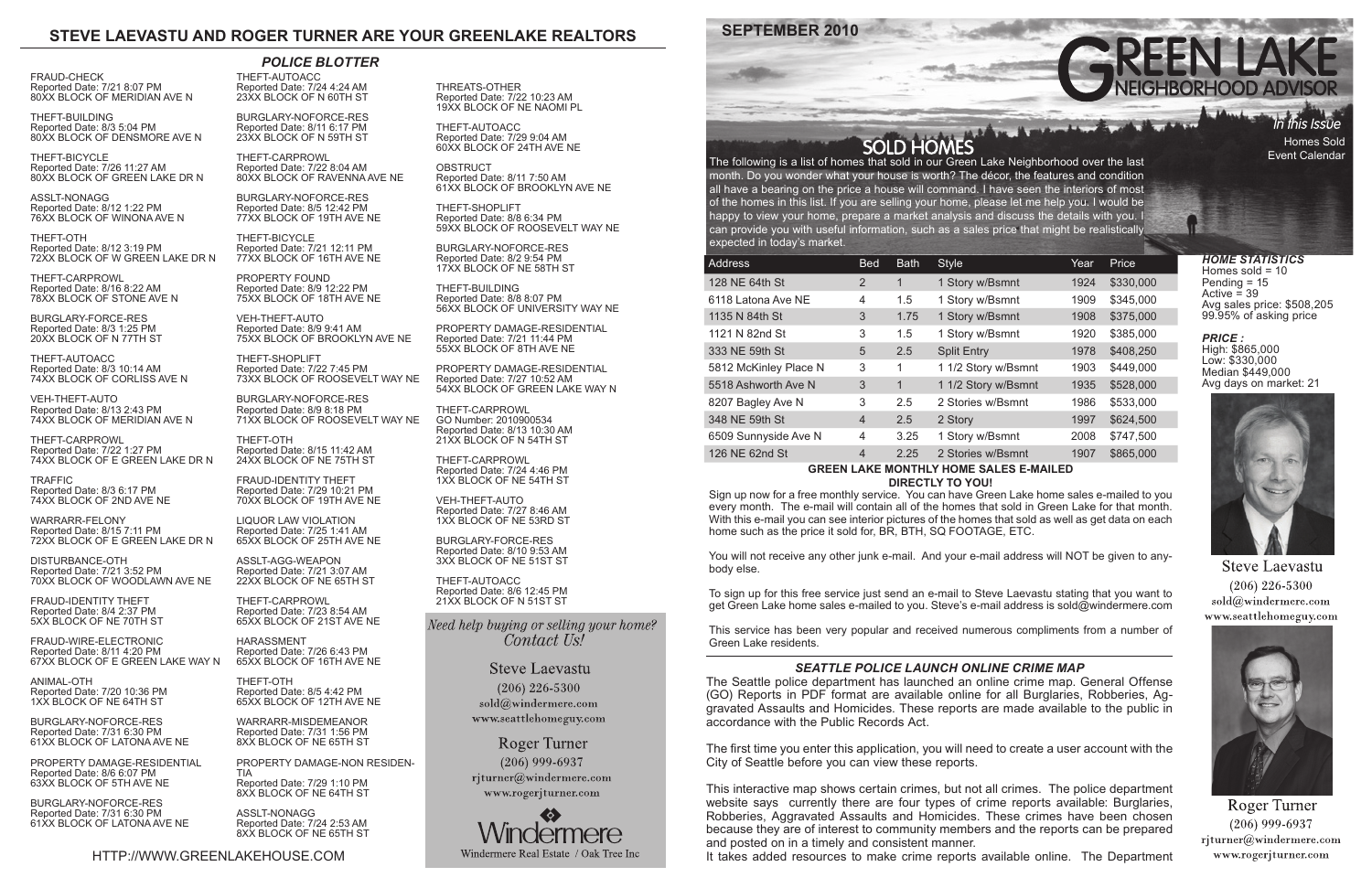# **SEPTEMBER 2010**

HTTP://WWW.GREENLAKEHOUSE.COM

The following is a list of homes that sold in our Green Lake Neighborhood over the last month. Do you wonder what your house is worth? The décor, the features and condition all have a bearing on the price a house will command. I have seen the interiors of most of the homes in this list. If you are selling your home, please let me help you. I would be happy to view your home, prepare a market analysis and discuss the details with you. I can provide you with useful information, such as a sales price that might be realistically expected in today's market.

| <b>Address</b>                                 | <b>Bed</b>     | <b>Bath</b> | <b>Style</b>        | Year | Price     |
|------------------------------------------------|----------------|-------------|---------------------|------|-----------|
| 128 NE 64th St                                 | 2              | 1           | 1 Story w/Bsmnt     | 1924 | \$330,000 |
| 6118 Latona Ave NE                             | 4              | 1.5         | 1 Story w/Bsmnt     | 1909 | \$345,000 |
| 1135 N 84th St                                 | 3              | 1.75        | 1 Story w/Bsmnt     | 1908 | \$375,000 |
| 1121 N 82nd St                                 | 3              | 1.5         | 1 Story w/Bsmnt     | 1920 | \$385,000 |
| 333 NE 59th St                                 | 5              | 2.5         | <b>Split Entry</b>  | 1978 | \$408,250 |
| 5812 McKinley Place N                          | 3              | 1           | 1 1/2 Story w/Bsmnt | 1903 | \$449,000 |
| 5518 Ashworth Ave N                            | 3              | 1           | 1 1/2 Story w/Bsmnt | 1935 | \$528,000 |
| 8207 Bagley Ave N                              | 3              | 2.5         | 2 Stories w/Bsmnt   | 1986 | \$533,000 |
| 348 NE 59th St                                 | $\overline{4}$ | 2.5         | 2 Story             | 1997 | \$624,500 |
| 6509 Sunnyside Ave N                           | 4              | 3.25        | 1 Story w/Bsmnt     | 2008 | \$747,500 |
| 126 NE 62nd St                                 | $\overline{4}$ | 2.25        | 2 Stories w/Bsmnt   | 1907 | \$865,000 |
| CDEEN<br>MONTHLY HOME CALES E<br><b>MAILER</b> |                |             |                     |      |           |

'n this Issue Homes Sold Event Calendar

#### **GREEN LAKE MONTHLY HOME SALES E-MAILED DIRECTLY TO YOU!**

Sign up now for a free monthly service. You can have Green Lake home sales e-mailed to you every month. The e-mail will contain all of the homes that sold in Green Lake for that month. With this e-mail you can see interior pictures of the homes that sold as well as get data on each home such as the price it sold for, BR, BTH, SQ FOOTAGE, ETC.

**TRAFFIC** Reported Date: 8/3 6:17 PM 74XX BLOCK OF 2ND AVE NE

> You will not receive any other junk e-mail. And your e-mail address will NOT be given to anybody else.

> To sign up for this free service just send an e-mail to Steve Laevastu stating that you want to get Green Lake home sales e-mailed to you. Steve's e-mail address is sold@windermere.com

> This service has been very popular and received numerous compliments from a number of Green Lake residents.

# **STEVE LAEVASTU AND ROGER TURNER ARE YOUR GREENLAKE REALTORS**

*HOME STATISTICS* Homes sold  $= 10$ Pending = 15 Active  $=$  39 Avg sales price: \$508,205 99.95% of asking price

*PRICE :*  High: \$865,000 Low: \$330,000 Median \$449,000 Avg days on market: 21



**Steve Laevastu**  $(206)$  226-5300 sold@windermere.com www.seattlehomeguy.com



Roger Turner  $(206)$  999-6937  $r$ jturner@windermere.com www.rogerjturner.com

FRAUD-CHECK Reported Date: 7/21 8:07 PM 80XX BLOCK OF MERIDIAN AVE N

THEFT-BUILDING Reported Date: 8/3 5:04 PM 80XX BLOCK OF DENSMORE AVE N

THEFT-BICYCLE Reported Date: 7/26 11:27 AM 80XX BLOCK OF GREEN LAKE DR N

ASSLT-NONAGG Reported Date: 8/12 1:22 PM 76XX BLOCK OF WINONA AVE N

THEFT-OTH Reported Date: 8/12 3:19 PM 72XX BLOCK OF W GREEN LAKE DR N **OBSTRUCT** Reported Date: 8/11 7:50 AM 61XX BLOCK OF BROOKLYN AVE NE

THEFT-CARPROWL Reported Date: 8/16 8:22 AM 78XX BLOCK OF STONE AVE N

BURGLARY-FORCE-RES Reported Date: 8/3 1:25 PM 20XX BLOCK OF N 77TH ST

THEFT-AUTOACC Reported Date: 8/3 10:14 AM 74XX BLOCK OF CORLISS AVE N

VEH-THEFT-AUTO Reported Date: 8/13 2:43 PM 74XX BLOCK OF MERIDIAN AVE N

THEFT-CARPROWL Reported Date: 7/22 1:27 PM 74XX BLOCK OF E GREEN LAKE DR N

WARRARR-FELONY Reported Date: 8/15 7:11 PM 72XX BLOCK OF E GREEN LAKE DR N

DISTURBANCE-OTH Reported Date: 7/21 3:52 PM 70XX BLOCK OF WOODLAWN AVE NE

FRAUD-IDENTITY THEFT Reported Date: 8/4 2:37 PM 5XX BLOCK OF NE 70TH ST

FRAUD-WIRE-ELECTRONIC Reported Date: 8/11 4:20 PM 67XX BLOCK OF E GREEN LAKE WAY N

ANIMAL-OTH Reported Date: 7/20 10:36 PM 1XX BLOCK OF NE 64TH ST

BURGLARY-NOFORCE-RES Reported Date: 7/31 6:30 PM 61XX BLOCK OF LATONA AVE NE

PROPERTY DAMAGE-RESIDENTIAL Reported Date: 8/6 6:07 PM 63XX BLOCK OF 5TH AVE NE

BURGLARY-NOFORCE-RES Reported Date: 7/31 6:30 PM 61XX BLOCK OF LATONA AVE NE THEFT-AUTOACC Reported Date: 7/24 4:24 AM 23XX BLOCK OF N 60TH ST

BURGLARY-NOFORCE-RES Reported Date: 8/11 6:17 PM 23XX BLOCK OF N 59TH ST

THEFT-CARPROWL Reported Date: 7/22 8:04 AM 80XX BLOCK OF RAVENNA AVE NE

BURGLARY-NOFORCE-RES Reported Date: 8/5 12:42 PM 77XX BLOCK OF 19TH AVE NE

THEFT-BICYCLE Reported Date: 7/21 12:11 PM 77XX BLOCK OF 16TH AVE NE

PROPERTY FOUND Reported Date: 8/9 12:22 PM 75XX BLOCK OF 18TH AVE NE

VEH-THEFT-AUTO Reported Date: 8/9 9:41 AM 75XX BLOCK OF BROOKLYN AVE NE

THEFT-SHOPLIFT Reported Date: 7/22 7:45 PM 73XX BLOCK OF ROOSEVELT WAY NE

BURGLARY-NOFORCE-RES Reported Date: 8/9 8:18 PM 71XX BLOCK OF ROOSEVELT WAY NE

THEFT-OTH Reported Date: 8/15 11:42 AM 24XX BLOCK OF NE 75TH ST

FRAUD-IDENTITY THEFT Reported Date: 7/29 10:21 PM 70XX BLOCK OF 19TH AVE NE

LIQUOR LAW VIOLATION Reported Date: 7/25 1:41 AM 65XX BLOCK OF 25TH AVE NE

ASSLT-AGG-WEAPON Reported Date: 7/21 3:07 AM 22XX BLOCK OF NE 65TH ST

THEFT-CARPROWL Reported Date: 7/23 8:54 AM 65XX BLOCK OF 21ST AVE NE

HARASSMENT Reported Date: 7/26 6:43 PM 65XX BLOCK OF 16TH AVE NE

THEFT-OTH Reported Date: 8/5 4:42 PM 65XX BLOCK OF 12TH AVE NE

WARRARR-MISDEMEANOR Reported Date: 7/31 1:56 PM 8XX BLOCK OF NE 65TH ST

PROPERTY DAMAGE-NON RESIDEN-TIA

Reported Date: 7/29 1:10 PM 8XX BLOCK OF NE 64TH ST

ASSLT-NONAGG Reported Date: 7/24 2:53 AM 8XX BLOCK OF NE 65TH ST THREATS-OTHER Reported Date: 7/22 10:23 AM 19XX BLOCK OF NE NAOMI PL

THEFT-AUTOACC Reported Date: 7/29 9:04 AM 60XX BLOCK OF 24TH AVE NE

THEFT-SHOPLIFT Reported Date: 8/8 6:34 PM 59XX BLOCK OF ROOSEVELT WAY NE

BURGLARY-NOFORCE-RES Reported Date: 8/2 9:54 PM 17XX BLOCK OF NE 58TH ST

THEFT-BUILDING Reported Date: 8/8 8:07 PM 56XX BLOCK OF UNIVERSITY WAY NE

PROPERTY DAMAGE-RESIDENTIAL Reported Date: 7/21 11:44 PM 55XX BLOCK OF 8TH AVE NE

PROPERTY DAMAGE-RESIDENTIAL Reported Date: 7/27 10:52 AM 54XX BLOCK OF GREEN LAKE WAY N

THEFT-CARPROWL GO Number: 2010900534 Reported Date: 8/13 10:30 AM 21XX BLOCK OF N 54TH ST

THEFT-CARPROWL Reported Date: 7/24 4:46 PM 1XX BLOCK OF NE 54TH ST

VEH-THEFT-AUTO Reported Date: 7/27 8:46 AM 1XX BLOCK OF NE 53RD ST

BURGLARY-FORCE-RES Reported Date: 8/10 9:53 AM 3XX BLOCK OF NE 51ST ST

THEFT-AUTOACC Reported Date: 8/6 12:45 PM 21XX BLOCK OF N 51ST ST

Need help buying or selling your home? Contact Us!

> **Steve Laevastu**  $(206)$  226-5300 sold@windermere.com www.seattlehomeguy.com

Roger Turner  $(206)$  999-6937 rjturner@windermere.com www.rogerjturner.com



### *POLICE BLOTTER*

# *SEATTLE POLICE LAUNCH ONLINE CRIME MAP*

The Seattle police department has launched an online crime map. General Offense (GO) Reports in PDF format are available online for all Burglaries, Robberies, Aggravated Assaults and Homicides. These reports are made available to the public in accordance with the Public Records Act.

The first time you enter this application, you will need to create a user account with the City of Seattle before you can view these reports.

This interactive map shows certain crimes, but not all crimes. The police department website says currently there are four types of crime reports available: Burglaries, Robberies, Aggravated Assaults and Homicides. These crimes have been chosen because they are of interest to community members and the reports can be prepared and posted on in a timely and consistent manner. It takes added resources to make crime reports available online. The Department